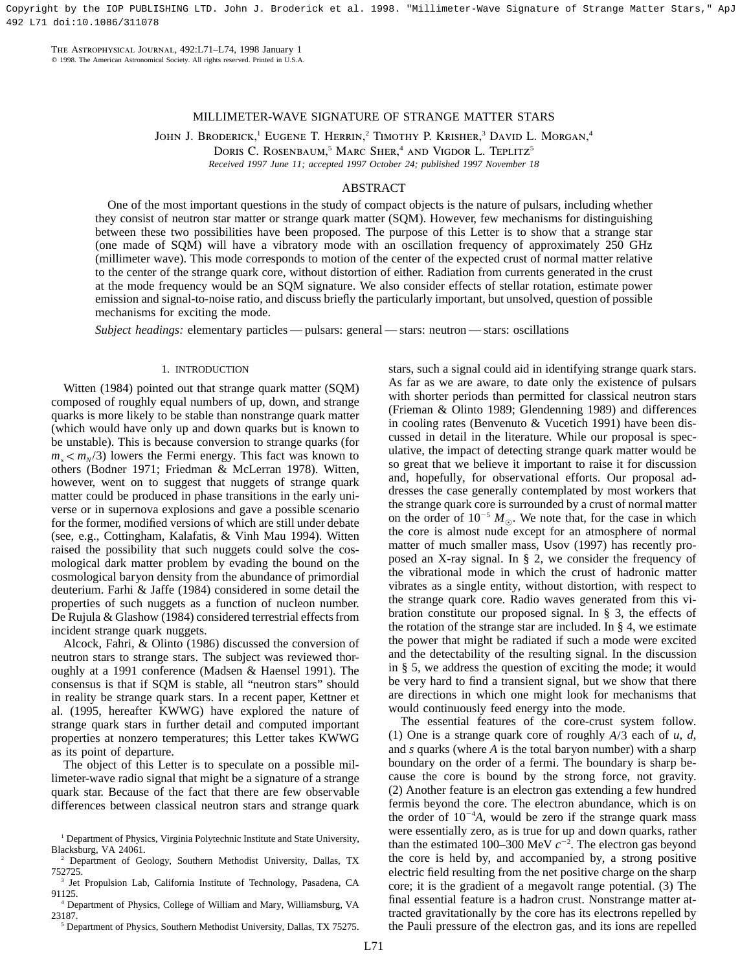Copyright by the IOP PUBLISHING LTD. John J. Broderick et al. 1998. "Millimeter-Wave Signature of Strange Matter Stars," ApJ 492 L71 doi:10.1086/311078

The Astrophysical Journal, 492:L71–L74, 1998 January 1  $©$  1998. The American Astronomical Society. All rights reserved. Printed in U.S.A.

# MILLIMETER-WAVE SIGNATURE OF STRANGE MATTER STARS

JOHN J. BRODERICK,<sup>1</sup> EUGENE T. HERRIN,<sup>2</sup> TIMOTHY P. KRISHER,<sup>3</sup> DAVID L. MORGAN,<sup>4</sup>

DORIS C. ROSENBAUM,<sup>5</sup> MARC SHER,<sup>4</sup> AND VIGDOR L. TEPLITZ<sup>5</sup>

*Received 1997 June 11; accepted 1997 October 24; published 1997 November 18*

# ABSTRACT

One of the most important questions in the study of compact objects is the nature of pulsars, including whether they consist of neutron star matter or strange quark matter (SQM). However, few mechanisms for distinguishing between these two possibilities have been proposed. The purpose of this Letter is to show that a strange star (one made of SQM) will have a vibratory mode with an oscillation frequency of approximately 250 GHz (millimeter wave). This mode corresponds to motion of the center of the expected crust of normal matter relative to the center of the strange quark core, without distortion of either. Radiation from currents generated in the crust at the mode frequency would be an SQM signature. We also consider effects of stellar rotation, estimate power emission and signal-to-noise ratio, and discuss briefly the particularly important, but unsolved, question of possible mechanisms for exciting the mode.

*Subject headings:* elementary particles — pulsars: general — stars: neutron — stars: oscillations

## 1. INTRODUCTION

Witten (1984) pointed out that strange quark matter (SQM) composed of roughly equal numbers of up, down, and strange quarks is more likely to be stable than nonstrange quark matter (which would have only up and down quarks but is known to be unstable). This is because conversion to strange quarks (for  $m_s < m_s/3$ ) lowers the Fermi energy. This fact was known to others (Bodner 1971; Friedman & McLerran 1978). Witten, however, went on to suggest that nuggets of strange quark matter could be produced in phase transitions in the early universe or in supernova explosions and gave a possible scenario for the former, modified versions of which are still under debate (see, e.g., Cottingham, Kalafatis, & Vinh Mau 1994). Witten raised the possibility that such nuggets could solve the cosmological dark matter problem by evading the bound on the cosmological baryon density from the abundance of primordial deuterium. Farhi & Jaffe (1984) considered in some detail the properties of such nuggets as a function of nucleon number. De Rujula & Glashow (1984) considered terrestrial effects from incident strange quark nuggets.

Alcock, Fahri, & Olinto (1986) discussed the conversion of neutron stars to strange stars. The subject was reviewed thoroughly at a 1991 conference (Madsen & Haensel 1991). The consensus is that if SQM is stable, all "neutron stars" should in reality be strange quark stars. In a recent paper, Kettner et al. (1995, hereafter KWWG) have explored the nature of strange quark stars in further detail and computed important properties at nonzero temperatures; this Letter takes KWWG as its point of departure.

The object of this Letter is to speculate on a possible millimeter-wave radio signal that might be a signature of a strange quark star. Because of the fact that there are few observable differences between classical neutron stars and strange quark

<sup>5</sup> Department of Physics, Southern Methodist University, Dallas, TX 75275.

stars, such a signal could aid in identifying strange quark stars. As far as we are aware, to date only the existence of pulsars with shorter periods than permitted for classical neutron stars (Frieman & Olinto 1989; Glendenning 1989) and differences in cooling rates (Benvenuto & Vucetich 1991) have been discussed in detail in the literature. While our proposal is speculative, the impact of detecting strange quark matter would be so great that we believe it important to raise it for discussion and, hopefully, for observational efforts. Our proposal addresses the case generally contemplated by most workers that the strange quark core is surrounded by a crust of normal matter on the order of  $10^{-5} M_{\odot}$ . We note that, for the case in which the core is almost nude except for an atmosphere of normal matter of much smaller mass, Usov (1997) has recently proposed an X-ray signal. In § 2, we consider the frequency of the vibrational mode in which the crust of hadronic matter vibrates as a single entity, without distortion, with respect to the strange quark core. Radio waves generated from this vibration constitute our proposed signal. In § 3, the effects of the rotation of the strange star are included. In  $\S$  4, we estimate the power that might be radiated if such a mode were excited and the detectability of the resulting signal. In the discussion in § 5, we address the question of exciting the mode; it would be very hard to find a transient signal, but we show that there are directions in which one might look for mechanisms that would continuously feed energy into the mode.

The essential features of the core-crust system follow. (1) One is a strange quark core of roughly  $A/3$  each of  $u, d$ , and *s* quarks (where *A* is the total baryon number) with a sharp boundary on the order of a fermi. The boundary is sharp because the core is bound by the strong force, not gravity. (2) Another feature is an electron gas extending a few hundred fermis beyond the core. The electron abundance, which is on the order of  $10^{-4}A$ , would be zero if the strange quark mass were essentially zero, as is true for up and down quarks, rather than the estimated 100–300 MeV  $c^{-2}$ . The electron gas beyond the core is held by, and accompanied by, a strong positive electric field resulting from the net positive charge on the sharp core; it is the gradient of a megavolt range potential. (3) The final essential feature is a hadron crust. Nonstrange matter attracted gravitationally by the core has its electrons repelled by the Pauli pressure of the electron gas, and its ions are repelled

<sup>&</sup>lt;sup>1</sup> Department of Physics, Virginia Polytechnic Institute and State University, Blacksburg, VA 24061.

<sup>2</sup> Department of Geology, Southern Methodist University, Dallas, TX 752725.

<sup>&</sup>lt;sup>3</sup> Jet Propulsion Lab, California Institute of Technology, Pasadena, CA 91125.

<sup>4</sup> Department of Physics, College of William and Mary, Williamsburg, VA 23187.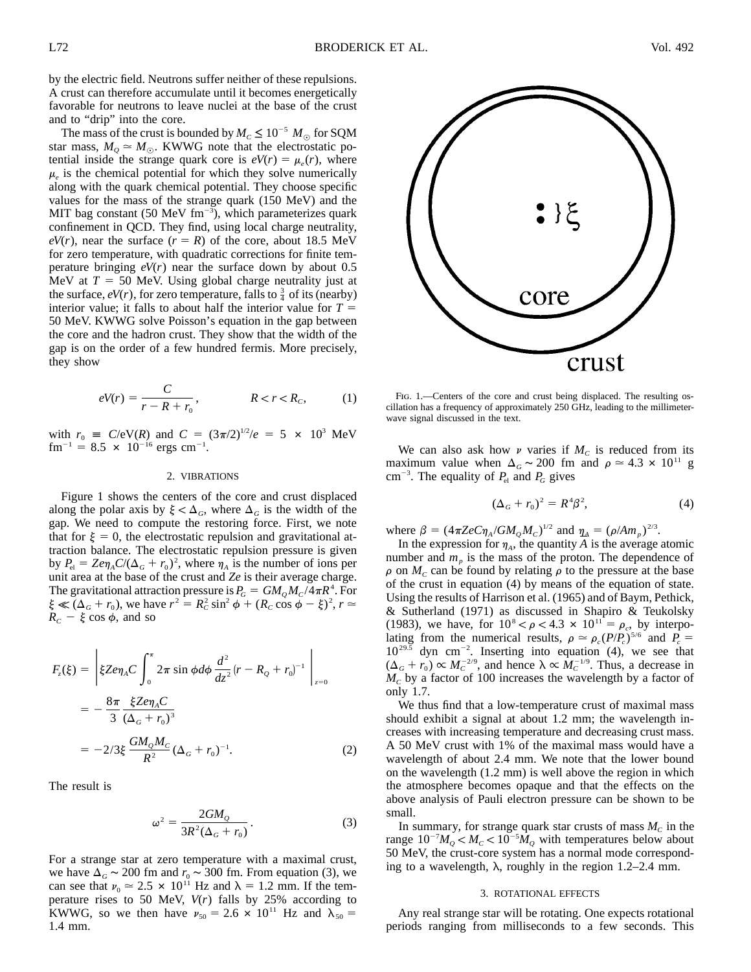by the electric field. Neutrons suffer neither of these repulsions. A crust can therefore accumulate until it becomes energetically favorable for neutrons to leave nuclei at the base of the crust and to "drip" into the core.

The mass of the crust is bounded by  $M_C \le 10^{-5} M_{\odot}$  for SQM star mass,  $M_Q \simeq M_{\odot}$ . KWWG note that the electrostatic potential inside the strange quark core is  $eV(r) = \mu_e(r)$ , where  $\mu_e$  is the chemical potential for which they solve numerically along with the quark chemical potential. They choose specific values for the mass of the strange quark (150 MeV) and the MIT bag constant (50 MeV  $\text{fm}^{-3}$ ), which parameterizes quark confinement in QCD. They find, using local charge neutrality,  $eV(r)$ , near the surface  $(r = R)$  of the core, about 18.5 MeV for zero temperature, with quadratic corrections for finite temperature bringing *eV*(*r*) near the surface down by about 0.5 MeV at  $T = 50$  MeV. Using global charge neutrality just at the surface,  $eV(r)$ , for zero temperature, falls to  $\frac{3}{4}$  of its (nearby) interior value; it falls to about half the interior value for  $T =$ 50 MeV. KWWG solve Poisson's equation in the gap between the core and the hadron crust. They show that the width of the gap is on the order of a few hundred fermis. More precisely, they show

$$
eV(r) = \frac{C}{r - R + r_0}, \qquad R < r < R_c,\tag{1}
$$

with  $r_0 \equiv C/eV(R)$  and  $C = (3\pi/2)^{1/2}/e = 5 \times 10^3$  MeV  $\text{fm}^{-1} = 8.5 \times 10^{-16} \text{ ergs cm}^{-1}.$ 

#### 2. VIBRATIONS

Figure 1 shows the centers of the core and crust displaced along the polar axis by  $\xi < \Delta_G$ , where  $\Delta_G$  is the width of the gap. We need to compute the restoring force. First, we note that for  $\xi = 0$ , the electrostatic repulsion and gravitational attraction balance. The electrostatic repulsion pressure is given by  $P_{\text{el}} = Ze\eta_A C/(\Delta_G + r_0)^2$ , where  $\eta_A$  is the number of ions per unit area at the base of the crust and *Ze* is their average charge. The gravitational attraction pressure is  $P_G = GM_OM_C/4\pi R^4$ . For  $\xi \ll (\Delta_G + r_0)$ , we have  $r^2 = R_C^2 \sin^2 \phi + (R_C \cos \phi - \xi)^2$ ,  $r \approx$  $R_c - \xi \cos \phi$ , and so

$$
F_z(\xi) = \left| \xi Z e \eta_A C \int_0^{\pi} 2\pi \sin \phi d\phi \frac{d^2}{dz^2} (r - R_Q + r_0)^{-1} \right|_{z=0}
$$
  
= 
$$
-\frac{8\pi}{3} \frac{\xi Z e \eta_A C}{(\Delta_G + r_0)^3}
$$
  
= 
$$
-2/3 \xi \frac{GM_Q M_C}{R^2} (\Delta_G + r_0)^{-1}.
$$
 (2)

The result is

$$
\omega^2 = \frac{2GM_Q}{3R^2(\Delta_G + r_0)}.\tag{3}
$$

For a strange star at zero temperature with a maximal crust, we have  $\Delta_G \sim 200$  fm and  $r_0 \sim 300$  fm. From equation (3), we can see that  $\nu_0 \approx 2.5 \times 10^{11}$  Hz and  $\lambda = 1.2$  mm. If the temperature rises to 50 MeV, *V*(*r*) falls by 25% according to KWWG, so we then have  $v_{50} = 2.6 \times 10^{11}$  Hz and  $\lambda_{50} =$ 1.4 mm.



FIG. 1.—Centers of the core and crust being displaced. The resulting oscillation has a frequency of approximately 250 GHz, leading to the millimeterwave signal discussed in the text.

We can also ask how  $\nu$  varies if  $M_c$  is reduced from its maximum value when  $\Delta_G \sim 200$  fm and  $\rho \approx 4.3 \times 10^{11}$  g cm<sup>-3</sup>. The equality of  $P_{el}$  and  $P_G$  gives

$$
(\Delta_G + r_0)^2 = R^4 \beta^2, \tag{4}
$$

where  $\beta = (4\pi ZeC\eta_A/GM_QM_C)^{1/2}$  and  $\eta_A = (\rho/Am_p)^{2/3}$ .

In the expression for  $\eta_A$ , the quantity *A* is the average atomic number and  $m<sub>p</sub>$  is the mass of the proton. The dependence of  $\rho$  on  $M_c$  can be found by relating  $\rho$  to the pressure at the base of the crust in equation (4) by means of the equation of state. Using the results of Harrison et al. (1965) and of Baym, Pethick, & Sutherland (1971) as discussed in Shapiro & Teukolsky (1983), we have, for  $10^8 < \rho < 4.3 \times 10^{11} = \rho_c$ , by interpolating from the numerical results,  $\rho \simeq \rho_c (P/P_c)^{5/6}$  and  $P_c =$  $10^{29.5}$  dyn cm<sup>-2</sup>. Inserting into equation (4), we see that  $(\Delta_G + r_0) \propto M_C^{-2/9}$ , and hence  $\lambda \propto M_C^{-1/9}$ . Thus, a decrease in  $M_c$  by a factor of 100 increases the wavelength by a factor of only 1.7.

We thus find that a low-temperature crust of maximal mass should exhibit a signal at about 1.2 mm; the wavelength increases with increasing temperature and decreasing crust mass. A 50 MeV crust with 1% of the maximal mass would have a wavelength of about 2.4 mm. We note that the lower bound on the wavelength (1.2 mm) is well above the region in which the atmosphere becomes opaque and that the effects on the above analysis of Pauli electron pressure can be shown to be small.

In summary, for strange quark star crusts of mass  $M<sub>c</sub>$  in the range  $10^{-7}M_{\odot} < M_{C} < 10^{-5}M_{\odot}$  with temperatures below about 50 MeV, the crust-core system has a normal mode corresponding to a wavelength,  $\lambda$ , roughly in the region 1.2–2.4 mm.

#### 3. ROTATIONAL EFFECTS

Any real strange star will be rotating. One expects rotational periods ranging from milliseconds to a few seconds. This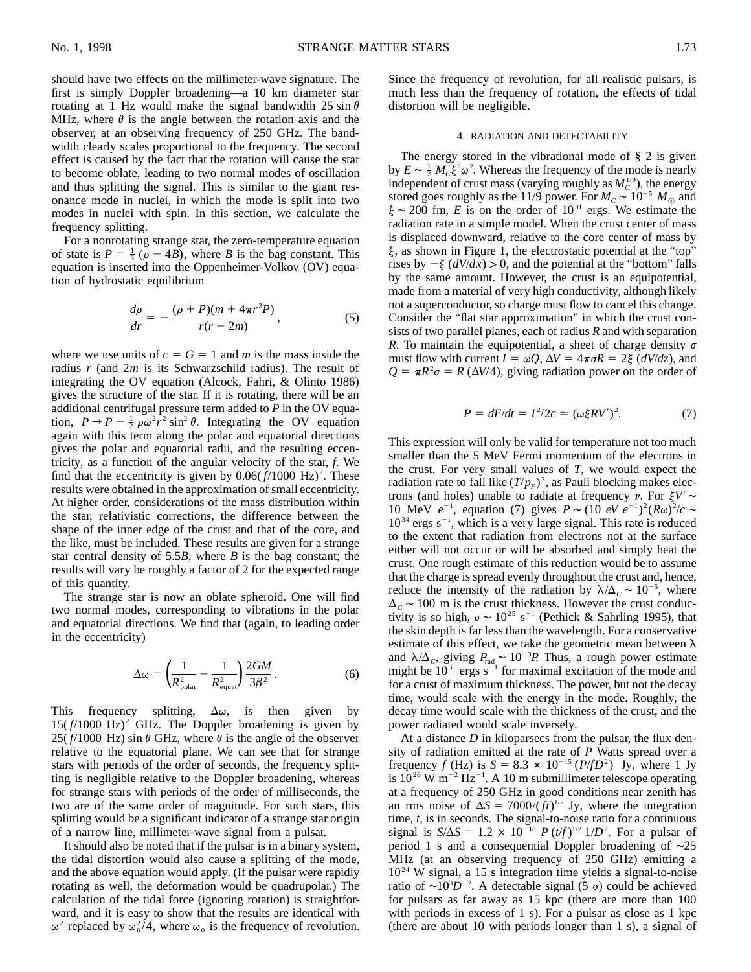should have two effects on the millimeter-wave signature. The first is simply Doppler broadening—a 10 km diameter star rotating at 1 Hz would make the signal bandwidth 25 sin  $\theta$ MHz, where  $\theta$  is the angle between the rotation axis and the observer, at an observing frequency of 250 GHz. The bandwidth clearly scales proportional to the frequency. The second effect is caused by the fact that the rotation will cause the star to become oblate, leading to two normal modes of oscillation and thus splitting the signal. This is similar to the giant resonance mode in nuclei, in which the mode is split into two modes in nuclei with spin. In this section, we calculate the frequency splitting.

For a nonrotating strange star, the zero-temperature equation of state is  $P = \frac{1}{3} (\rho - 4B)$ , where *B* is the bag constant. This equation is inserted into the Oppenheimer-Volkov (OV) equation of hydrostatic equilibrium

$$
\frac{d\rho}{dr} = -\frac{(\rho + P)(m + 4\pi r^3 P)}{r(r - 2m)},\tag{5}
$$

where we use units of  $c = G = 1$  and *m* is the mass inside the radius *r* (and 2*m* is its Schwarzschild radius). The result of integrating the OV equation (Alcock, Fahri, & Olinto 1986) gives the structure of the star. If it is rotating, there will be an additional centrifugal pressure term added to *P* in the OV equation,  $P \rightarrow P - \frac{1}{2} \rho \omega^2 r^2 \sin^2 \theta$ . Integrating the OV equation again with this term along the polar and equatorial directions gives the polar and equatorial radii, and the resulting eccentricity, as a function of the angular velocity of the star, *f*. We find that the eccentricity is given by  $0.06(f/1000 \text{ Hz})^2$ . These results were obtained in the approximation of small eccentricity. At higher order, considerations of the mass distribution within the star, relativistic corrections, the difference between the shape of the inner edge of the crust and that of the core, and the like, must be included. These results are given for a strange star central density of 5.5*B*, where *B* is the bag constant; the results will vary be roughly a factor of 2 for the expected range of this quantity.

The strange star is now an oblate spheroid. One will find two normal modes, corresponding to vibrations in the polar and equatorial directions. We find that (again, to leading order in the eccentricity)

$$
\Delta \omega = \left(\frac{1}{R_{\text{polar}}^2} - \frac{1}{R_{\text{equal}}^2}\right) \frac{2GM}{3\beta^2}.
$$
 (6)

This frequency splitting,  $\Delta \omega$ , is then given by  $15(f/1000 \text{ Hz})^2$  GHz. The Doppler broadening is given by 25( $f/1000$  Hz) sin  $\theta$  GHz, where  $\theta$  is the angle of the observer relative to the equatorial plane. We can see that for strange stars with periods of the order of seconds, the frequency splitting is negligible relative to the Doppler broadening, whereas for strange stars with periods of the order of milliseconds, the two are of the same order of magnitude. For such stars, this splitting would be a significant indicator of a strange star origin of a narrow line, millimeter-wave signal from a pulsar.

It should also be noted that if the pulsar is in a binary system, the tidal distortion would also cause a splitting of the mode, and the above equation would apply. (If the pulsar were rapidly rotating as well, the deformation would be quadrupolar.) The calculation of the tidal force (ignoring rotation) is straightforward, and it is easy to show that the results are identical with  $\omega^2$  replaced by  $\omega_0^2/4$ , where  $\omega_0$  is the frequency of revolution.

Since the frequency of revolution, for all realistic pulsars, is much less than the frequency of rotation, the effects of tidal distortion will be negligible.

## 4. RADIATION AND DETECTABILITY

The energy stored in the vibrational mode of  $\S$  2 is given by  $E \sim \frac{1}{2} M_c \xi^2 \omega^2$ . Whereas the frequency of the mode is nearly independent of crust mass (varying roughly as  $M_C^{1/9}$ ), the energy stored goes roughly as the 11/9 power. For  $M_c \sim 10^{-5} M_{\odot}$  and  $\xi \sim 200$  fm, *E* is on the order of  $10^{31}$  ergs. We estimate the radiation rate in a simple model. When the crust center of mass is displaced downward, relative to the core center of mass by  $\xi$ , as shown in Figure 1, the electrostatic potential at the "top" rises by  $-\xi$  ( $dV/dx$ ) > 0, and the potential at the "bottom" falls by the same amount. However, the crust is an equipotential, made from a material of very high conductivity, although likely not a superconductor, so charge must flow to cancel this change. Consider the "flat star approximation" in which the crust consists of two parallel planes, each of radius *R* and with separation *R*. To maintain the equipotential, a sheet of charge density  $\sigma$ must flow with current  $I = \omega Q$ ,  $\Delta V = 4\pi \sigma R = 2\xi$  (*dV*/*dz*), and  $Q = \pi R^2 \sigma = R \left(\frac{\Delta V}{4}\right)$ , giving radiation power on the order of

$$
P = dE/dt = I^2/2c \simeq (\omega \xi RV')^2. \tag{7}
$$

This expression will only be valid for temperature not too much smaller than the 5 MeV Fermi momentum of the electrons in the crust. For very small values of *T*, we would expect the radiation rate to fall like  $(T/p_F)^3$ , as Pauli blocking makes electrons (and holes) unable to radiate at frequency  $\nu$ . For  $\xi V' \sim$ 10 MeV  $e^{-1}$ , equation (7) gives  $P \sim (10 eV e^{-1})^2 (Rω)^2/c$  ∼  $10^{34}$  ergs s<sup>-1</sup>, which is a very large signal. This rate is reduced to the extent that radiation from electrons not at the surface either will not occur or will be absorbed and simply heat the crust. One rough estimate of this reduction would be to assume that the charge is spread evenly throughout the crust and, hence, reduce the intensity of the radiation by  $\lambda/\Delta_c \sim 10^{-5}$ , where  $\Delta_c$  ~ 100 m is the crust thickness. However the crust conductivity is so high,  $\sigma \sim 10^{25}$  s<sup>-1</sup> (Pethick & Sahrling 1995), that the skin depth is far lessthan the wavelength. For a conservative estimate of this effect, we take the geometric mean between  $\lambda$ and  $\lambda/\Delta_c$ , giving  $P_{rad} \sim 10^{-3} P$ . Thus, a rough power estimate might be  $10^{31}$  ergs s<sup>-1</sup> for maximal excitation of the mode and for a crust of maximum thickness. The power, but not the decay time, would scale with the energy in the mode. Roughly, the decay time would scale with the thickness of the crust, and the power radiated would scale inversely.

At a distance *D* in kiloparsecs from the pulsar, the flux density of radiation emitted at the rate of *P* Watts spread over a frequency *f* (Hz) is  $S = 8.3 \times 10^{-15} (P/fD^2)$  Jy, where 1 Jy is  $10^{26}$  W m<sup>-2</sup> Hz<sup>-1</sup>. A 10 m submillimeter telescope operating at a frequency of 250 GHz in good conditions near zenith has an rms noise of  $\Delta S = 7000/(ft)^{1/2}$  Jy, where the integration time, *t*, is in seconds. The signal-to-noise ratio for a continuous signal is  $S/\Delta S = 1.2 \times 10^{-18} P (t/f)^{1/2} 1/D^2$ . For a pulsar of period 1 s and a consequential Doppler broadening of ∼25 MHz (at an observing frequency of 250 GHz) emitting a  $10^{24}$  W signal, a 15 s integration time yields a signal-to-noise ratio of ~10<sup>3</sup> $D^{-2}$ . A detectable signal (5 σ) could be achieved for pulsars as far away as 15 kpc (there are more than 100 with periods in excess of 1 s). For a pulsar as close as 1 kpc (there are about 10 with periods longer than 1 s), a signal of